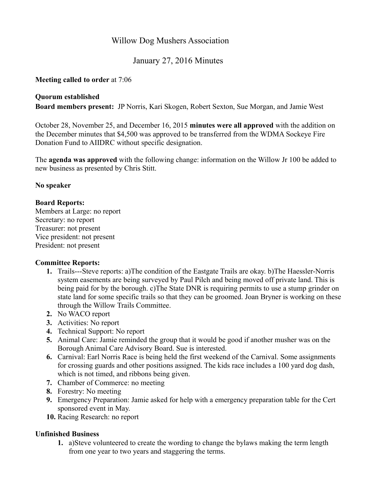## Willow Dog Mushers Association

# January 27, 2016 Minutes

#### **Meeting called to order** at 7:06

#### **Quorum established**

**Board members present:** JP Norris, Kari Skogen, Robert Sexton, Sue Morgan, and Jamie West

October 28, November 25, and December 16, 2015 **minutes were all approved** with the addition on the December minutes that \$4,500 was approved to be transferred from the WDMA Sockeye Fire Donation Fund to AIIDRC without specific designation.

The **agenda was approved** with the following change: information on the Willow Jr 100 be added to new business as presented by Chris Stitt.

#### **No speaker**

#### **Board Reports:**

Members at Large: no report Secretary: no report Treasurer: not present Vice president: not present President: not present

## **Committee Reports:**

- **1.** Trails---Steve reports: a)The condition of the Eastgate Trails are okay. b)The Haessler-Norris system easements are being surveyed by Paul Pilch and being moved off private land. This is being paid for by the borough. c)The State DNR is requiring permits to use a stump grinder on state land for some specific trails so that they can be groomed. Joan Bryner is working on these through the Willow Trails Committee.
- **2.** No WACO report
- **3.** Activities: No report
- **4.** Technical Support: No report
- **5.** Animal Care: Jamie reminded the group that it would be good if another musher was on the Borough Animal Care Advisory Board. Sue is interested.
- **6.** Carnival: Earl Norris Race is being held the first weekend of the Carnival. Some assignments for crossing guards and other positions assigned. The kids race includes a 100 yard dog dash, which is not timed, and ribbons being given.
- **7.** Chamber of Commerce: no meeting
- **8.** Forestry: No meeting
- **9.** Emergency Preparation: Jamie asked for help with a emergency preparation table for the Cert sponsored event in May.
- **10.** Racing Research: no report

## **Unfinished Business**

**1.** a)Steve volunteered to create the wording to change the bylaws making the term length from one year to two years and staggering the terms.